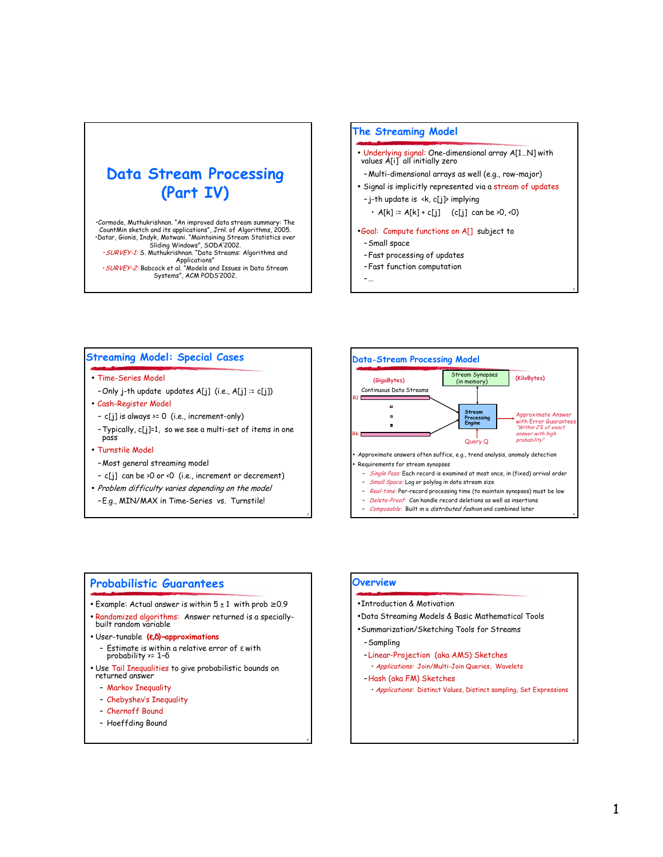# **Data Stream Processing** (Part IV)

Cormode, Muthukrishnan. "An improved data stream summary: The<br>CountMin sketch and its applications", Jrnl. of Algorithms, 2005. Countinum sketch and its applications , or this offered Statistics over<br>
Shiding Windows", SODA'2002.<br>
Sliding Windows", SODA'2002.<br>
SURVEY-1: S. Muthukrishnan. "Data Streams: Algorithms and Applications"<br>SURVEY-2: Babcock et al. "Models and Issues in Data Stream<br>Systems", ACM PODS'2002.

### **The Streaming Model**

- Underlying signal: One-dimensional array A[1...N] with<br>values A[i] all initially zero
- Multi-dimensional arrays as well (e.g., row-major)
- Signal is implicitly represented via a stream of updates -j-th update is <k, c[j]> implying
- $\cdot$  A[k] := A[k] + c[j] (c[j] can be >0, <0)
- .Goal: Compute functions on A[] subject to
- Small space
- -Fast processing of updates
- Fast function computation

 $\mathbb{L}$ ...

### **Streaming Model: Special Cases**

• Time-Series Model

-Only j-th update updates A[j] (i.e., A[j] := c[j])

- · Cash-Register Model
- c[j] is always >= 0 (i.e., increment-only)

- Typically, c[j]=1, so we see a multi-set of items in one pass

#### • Turnstile Model

- -Most general streaming model
- c[j] can be >0 or <0 (i.e., increment or decrement)
- Problem difficulty varies depending on the model
- -E.g., MIN/MAX in Time-Series vs. Turnstile!



Composable: Built in a distributed fashion and combined later

### **Probabilistic Guarantees**

- Example: Actual answer is within  $5 \pm 1$  with prob  $\ge 0.9$
- · Randomized algorithms: Answer returned is a speciallybuilt random variable
- · User-tunable (e, 8)-approximations
	- Estimate is within a relative error of  $\varepsilon$  with<br>probability >= 1- $\delta$
- · Use Tail Inequalities to give probabilistic bounds on returned answer
	- Markov Inequality
	- Chebyshev's Inequality
	- Chernoff Bound
	- Hoeffding Bound

#### Overview

- . Introduction & Motivation
- . Data Streaming Models & Basic Mathematical Tools
- . Summarization/Sketching Tools for Streams
	- -Sampling
	- -Linear-Projection (aka AMS) Sketches
	- · Applications: Join/Multi-Join Queries, Wavelets
	- -Hash (aka FM) Sketches
	- · Applications: Distinct Values, Distinct sampling, Set Expressions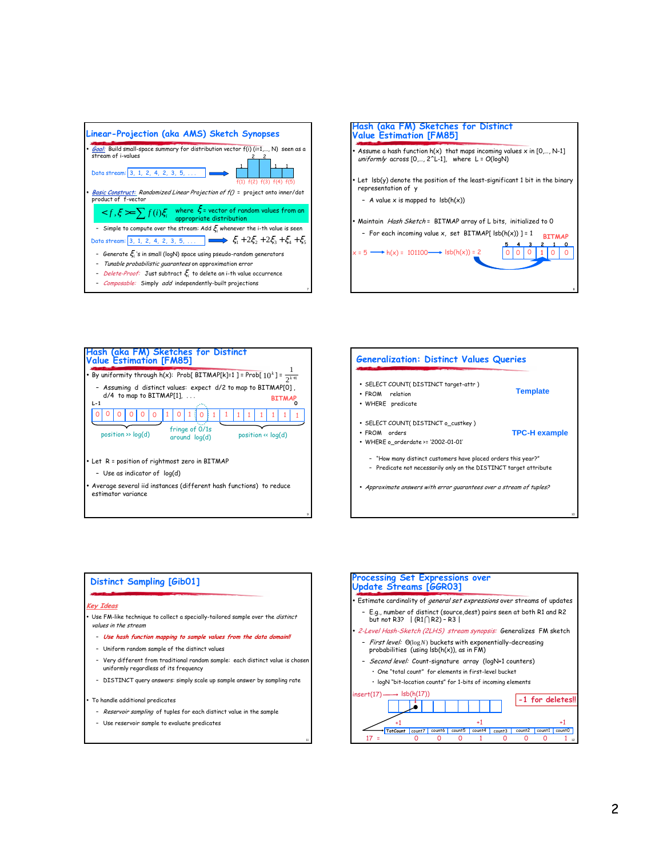







#### **Distinct Sampling [GibO1]**

#### Key Ideas

Use FM-like technique to collect a specially-tailored sample over the distinct values in the stream

- Use hash function mapping to sample values from the data domain!!
- Uniform random sample of the distinct values
- Very different from traditional random sample: each distinct value is chosen uniformly regardless of its frequency
- DISTINCT query answers: simply scale up sample answer by sampling rate

To handle additional predicates

- Reservoir sampling of tuples for each distinct value in the sample
- Use reservoir sample to evaluate predicates

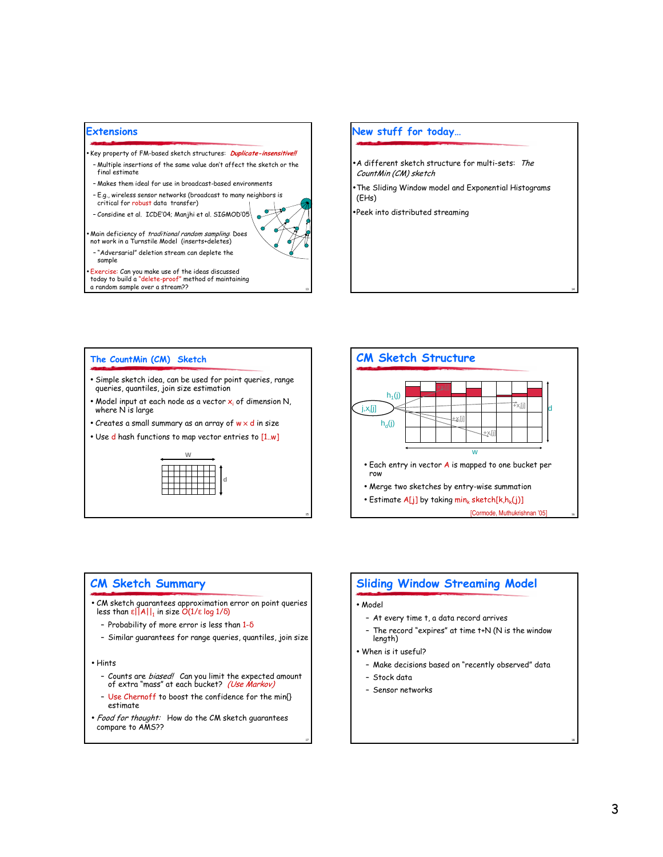

#### New stuff for today...

- A different sketch structure for multi-sets: The CountMin (CM) sketch
- The Sliding Window model and Exponential Histograms  $(EHs)$
- ·Peek into distributed streaming

#### The CountMin (CM) Sketch

- · Simple sketch idea, can be used for point queries, range queries, quantiles, join size estimation
- Model input at each node as a vector  $x_i$  of dimension N, where N is large
- Creates a small summary as an array of  $w \times d$  in size
- . Use d hash functions to map vector entries to [1,w]





### **CM Sketch Summary**

- CM sketch guarantees approximation error on point queries<br>less than  $\epsilon ||A||_1$  in size  $O(1/\epsilon \log 1/\delta)$ 
	- Probability of more error is less than  $1-\delta$
	- Similar guarantees for range queries, quantiles, join size
- Hints
	- Counts are *biased*/ Can you limit the expected amount<br>of extra "mass" at each bucket? *(Use Markov)*
	- Use Chernoff to boost the confidence for the min{} estimate
- · Food for thought: How do the CM sketch guarantees compare to AMS??

### **Sliding Window Streaming Model**

#### • Model

- At every time t, a data record arrives
- The record "expires" at time t+N (N is the window length)
- . When is it useful?
	- Make decisions based on "recently observed" data
	- Stock data
	- Sensor networks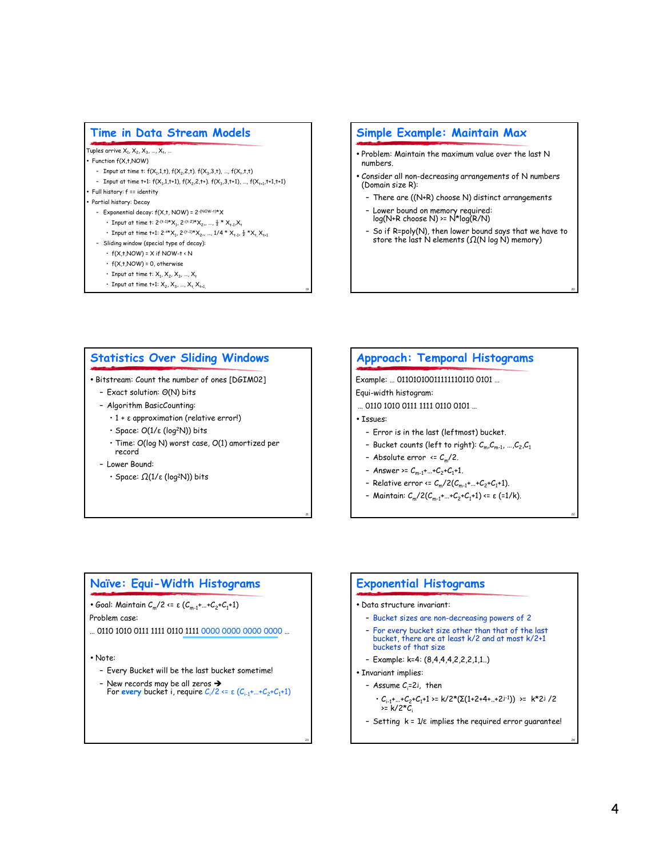### **Time in Data Stream Models**

Tuples arrive  $X_1, X_2, X_3, ..., X_t, ...$ 

- Function f(X,t,NOW)
- Input at time t:  $f(X_1,1,1), f(X_2,2,1), f(X_3,3,1), ..., f(X_t,1,1)$
- Input at time t+1:  $f(X_1,1,1+1)$ ,  $f(X_2,2,1+)$ .  $f(X_3,3,1+1)$ , ...,  $f(X_{1+1},1+1,1+1)$

## Full history: f == identity

- Partial history: Decay - Exponential decay:  $f(X,t, NOW) = 2^{-(NOW-t)*}X$ 
	- Input at time t:  $2^{-(t-1)*}X_1$ ,  $2^{-(t-2)*}X_2$ , ...,  $\frac{1}{2} * X_{t-1}X_t$
	- Input at time t+1:  $2^{-t*}X_1$ ,  $2^{-(t-1)*}X_2$ , ...,  $1/4 * X_{t-1}$ ,  $\frac{1}{2} * X_{t}$ ,  $X_{t+1}$
- Sliding window (special type of decay):
	- $\cdot$  f(X,t,NOW) = X if NOW-t < N
	- $\cdot$  f(X,t,NOW) = 0, otherwise
	- Input at time t:  $X_1, X_2, X_3, ..., X_n$
	- Input at time t+1:  $X_2, X_3, ..., X_t, X_{t+1}$

### Simple Example: Maintain Max

- . Problem: Maintain the maximum value over the last N numbers
- . Consider all non-decreasing arrangements of N numbers (Domain size R):
	- There are ((N+R) choose N) distinct arrangements
	- Lower bound on memory required:<br>log(N+R choose N) >= N\*log(R/N)
	- So if R=poly(N), then lower bound says that we have to<br>store the last N elements ( $\Omega(N \log N)$  memory)

### **Statistics Over Sliding Windows**

- . Bitstream: Count the number of ones [DGIM02]
	- Exact solution: O(N) bits
	- Algorithm BasicCounting:
		- $\cdot$  1 +  $\varepsilon$  approximation (relative error!)
		- $\cdot$  Space:  $O(1/\varepsilon \text{ (log}^2N))$  bits
		- · Time: O(log N) worst case, O(1) amortized per record
	- Lower Bound:
		- · Space:  $\Omega(1/\varepsilon \text{ (log}^2N))$  bits

### **Approach: Temporal Histograms**

Example: ... 01101010011111110110 0101 ...

- Equi-width histogram:
- ... 0110 1010 0111 1111 0110 0101 ...
- · Tssues:
	- Error is in the last (leftmost) bucket.
	- Bucket counts (left to right):  $C_m, C_{m-1}, ..., C_2, C_1$
	- Absolute error  $\leq C_m/2$ .
- Answer >=  $C_{m-1}$ +...+ $C_2$ + $C_1$ +1.
- Relative error <=  $C_m/2(C_{m-1} + ... + C_2 + C_1 + 1)$ .
- Maintain:  $C_m/2(C_{m-1} + ... + C_2 + C_1 + 1) \le \varepsilon$  (=1/k).

### Naïve: Equi-Width Histograms

• Goal: Maintain  $C_m/2 \le \varepsilon (C_{m-1} + ... + C_2 + C_1 + 1)$ 

Problem case:

... 0110 1010 0111 1111 0110 1111 0000 0000 0000 0000 ...

• Note:

- Every Bucket will be the last bucket sometime!
- New records may be all zeros  $\rightarrow$ <br>For every bucket i, require  $C_i/2 \le \varepsilon (C_{i-1} + ... + C_2 + C_1 + 1)$

### **Exponential Histograms**

#### · Data structure invariant:

- Bucket sizes are non-decreasing powers of 2
- For every bucket size other than that of the last bucket, there are at least k/2 and at most k/2+1 buckets of that size
- Example: k=4:  $(8,4,4,4,2,2,2,1,1)$ .
- Invariant implies:
	- Assume  $C_i = 2^j$ , then
		- $\cdot C_{i-1} + ... + C_2 + C_1 + 1 \ge k/2^*(\Sigma(1+2+4+...+2)^{-1})) \ge k^*2^j/2$  $\ge k/2$ \*C
	- Setting  $k = 1/\varepsilon$  implies the required error guarantee!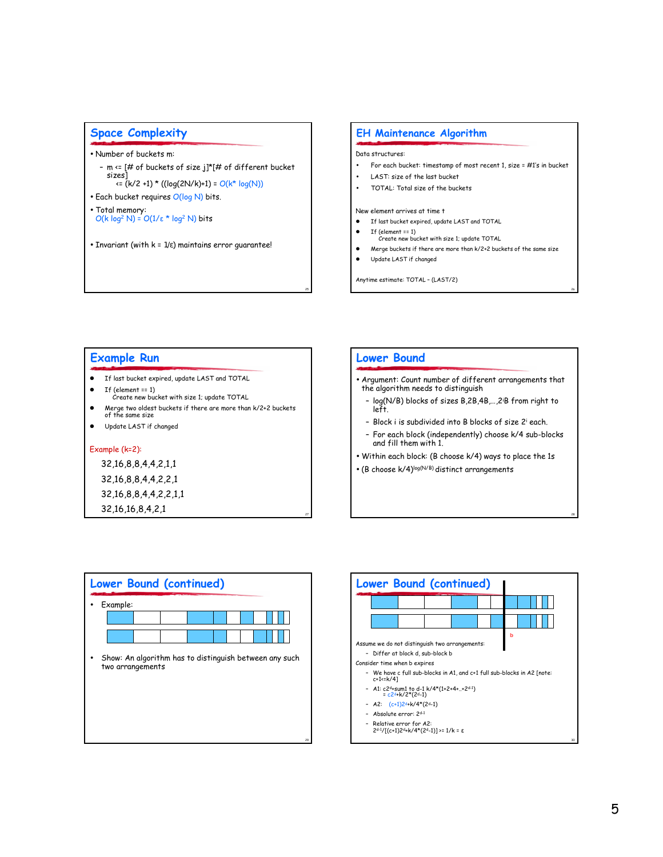### **Space Complexity**

- · Number of buckets m:
	- m <= [# of buckets of size j]\*[# of different bucket sizes]  $\left( k/2 + 1 \right)$  \* ((log(2N/k)+1) = O(k\* log(N))
- · Each bucket requires O(log N) bits.
- · Total memory:  $O(k \log^2 N) = O(1/\epsilon * \log^2 N)$  bits
- Invariant (with  $k = 1/\epsilon$ ) maintains error guarantee!

#### **EH Maintenance Algorithm**

#### Data structures:

- $\bullet$ For each bucket: timestamp of most recent 1, size = #1's in bucket
- LAST: size of the last bucket  $\bullet$
- $\bullet$ TOTAL: Total size of the buckets

#### New element arrives at time t

- If last bucket expired, update LAST and TOTAL
- If (element  $== 1$ ) Create new bucket with size 1; update TOTAL
- Merge buckets if there are more than k/2+2 buckets of the same size
- $\bullet$ Update LAST if changed

**Lower Bound** 

Anytime estimate: TOTAL - (LAST/2)

# **Example Run**

- If last bucket expired, update LAST and TOTAL
- $\bullet$  If (element == 1) Create new bucket with size 1; update TOTAL
- Merge two oldest buckets if there are more than k/2+2 buckets<br>of the same size  $\bullet$
- Update LAST if changed

#### Example (k=2):

# 32, 16, 8, 8, 4, 4, 2, 1, 1 32, 16, 8, 8, 4, 4, 2, 2, 1

32, 16, 8, 8, 4, 4, 2, 2, 1, 1

32, 16, 16, 8, 4, 2, 1



| <b>Lower Bound (continued)</b> |  |  |  |  |  |  |                                                        |
|--------------------------------|--|--|--|--|--|--|--------------------------------------------------------|
| Example:                       |  |  |  |  |  |  |                                                        |
|                                |  |  |  |  |  |  |                                                        |
|                                |  |  |  |  |  |  |                                                        |
| two arrangements               |  |  |  |  |  |  | Show: An algorithm has to distinguish between any such |